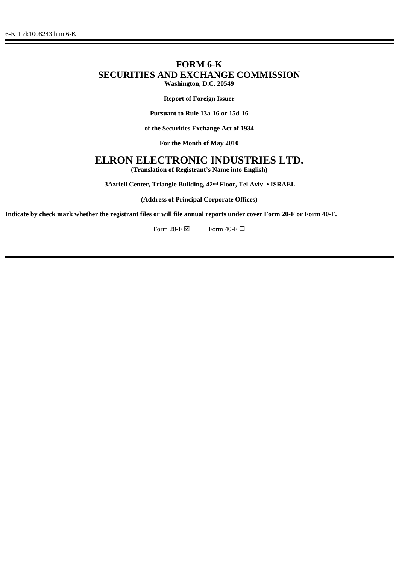## **FORM 6-K SECURITIES AND EXCHANGE COMMISSION Washington, D.C. 20549**

**Report of Foreign Issuer**

**Pursuant to Rule 13a-16 or 15d-16**

**of the Securities Exchange Act of 1934**

**For the Month of May 2010**

## **ELRON ELECTRONIC INDUSTRIES LTD.**

**(Translation of Registrant's Name into English)**

 **3Azrieli Center, Triangle Building, 42nd Floor, Tel Aviv • ISRAEL**

**(Address of Principal Corporate Offices)**

**Indicate by check mark whether the registrant files or will file annual reports under cover Form 20-F or Form 40-F.**

Form 20-F $\boxtimes$  Form 40-F $\Box$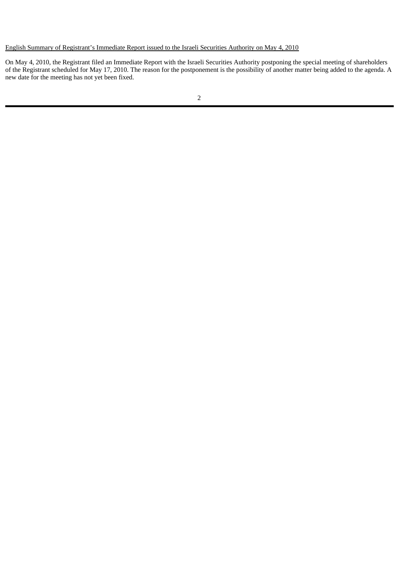## English Summary of Registrant's Immediate Report issued to the Israeli Securities Authority on May 4, 2010

On May 4, 2010, the Registrant filed an Immediate Report with the Israeli Securities Authority postponing the special meeting of shareholders of the Registrant scheduled for May 17, 2010. The reason for the postponement is the possibility of another matter being added to the agenda. A new date for the meeting has not yet been fixed.